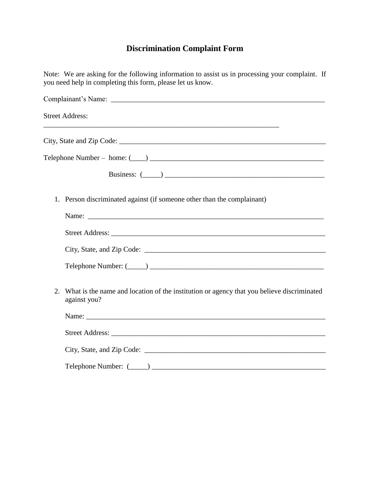## **Discrimination Complaint Form**

| Note: We are asking for the following information to assist us in processing your complaint. If<br>you need help in completing this form, please let us know. |                                                                                                                                                                                                                                |  |  |  |
|---------------------------------------------------------------------------------------------------------------------------------------------------------------|--------------------------------------------------------------------------------------------------------------------------------------------------------------------------------------------------------------------------------|--|--|--|
|                                                                                                                                                               |                                                                                                                                                                                                                                |  |  |  |
|                                                                                                                                                               | <b>Street Address:</b><br><u> 1989 - Johann John Stone, mars and deutscher Stone († 1989)</u>                                                                                                                                  |  |  |  |
|                                                                                                                                                               |                                                                                                                                                                                                                                |  |  |  |
|                                                                                                                                                               |                                                                                                                                                                                                                                |  |  |  |
|                                                                                                                                                               | Business: $(\_\_)$                                                                                                                                                                                                             |  |  |  |
| 1.                                                                                                                                                            | Person discriminated against (if someone other than the complainant)                                                                                                                                                           |  |  |  |
|                                                                                                                                                               |                                                                                                                                                                                                                                |  |  |  |
|                                                                                                                                                               |                                                                                                                                                                                                                                |  |  |  |
|                                                                                                                                                               |                                                                                                                                                                                                                                |  |  |  |
|                                                                                                                                                               |                                                                                                                                                                                                                                |  |  |  |
| 2.                                                                                                                                                            | What is the name and location of the institution or agency that you believe discriminated<br>against you?                                                                                                                      |  |  |  |
|                                                                                                                                                               |                                                                                                                                                                                                                                |  |  |  |
|                                                                                                                                                               | Street Address: Lawrence and Street Address and Street Address and Street Address and Street Address and Street Address and Street Address and Street Address and Street Address and Street Address and Street Address and Str |  |  |  |
|                                                                                                                                                               |                                                                                                                                                                                                                                |  |  |  |
|                                                                                                                                                               |                                                                                                                                                                                                                                |  |  |  |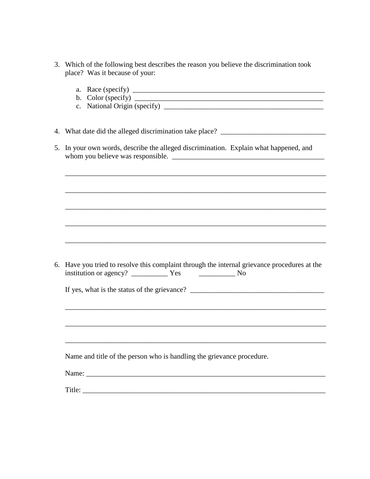3. Which of the following best describes the reason you believe the discrimination took place? Was it because of your:

|    | 4. What date did the alleged discrimination take place? _________________________         |
|----|-------------------------------------------------------------------------------------------|
| 5. | In your own words, describe the alleged discrimination. Explain what happened, and        |
|    |                                                                                           |
|    |                                                                                           |
|    |                                                                                           |
|    |                                                                                           |
|    |                                                                                           |
|    |                                                                                           |
|    |                                                                                           |
|    |                                                                                           |
| 6. | Have you tried to resolve this complaint through the internal grievance procedures at the |
|    |                                                                                           |
|    |                                                                                           |
|    |                                                                                           |
|    |                                                                                           |
|    |                                                                                           |
|    |                                                                                           |
|    | Name and title of the person who is handling the grievance procedure.                     |
|    |                                                                                           |
|    |                                                                                           |
|    | Title:                                                                                    |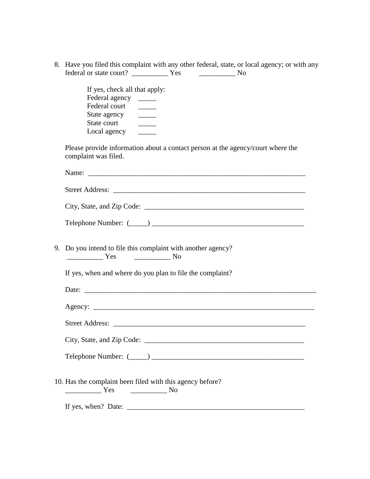8. Have you filed this complaint with any other federal, state, or local agency; or with any federal or state court? \_\_\_\_\_\_\_\_\_\_ Yes \_\_\_\_\_\_\_\_\_\_ No

> If yes, check all that apply: Federal agency \_\_\_\_\_ Federal court State agency \_\_\_\_\_\_\_ State court \_\_\_\_\_\_\_\_\_ Local agency

Please provide information about a contact person at the agency/court where the complaint was filed.

| Name:                      |  |
|----------------------------|--|
|                            |  |
| <b>Street Address:</b>     |  |
|                            |  |
| City, State, and Zip Code: |  |

| Telephone Number: ( |  |  |
|---------------------|--|--|
|---------------------|--|--|

9. Do you intend to file this complaint with another agency? \_\_\_\_\_\_\_\_\_\_ Yes \_\_\_\_\_\_\_\_\_\_ No

If yes, when and where do you plan to file the complaint?

Date: Agency: \_\_\_\_\_\_\_\_\_\_\_\_\_\_\_\_\_\_\_\_\_\_\_\_\_\_\_\_\_\_\_\_\_\_\_\_\_\_\_\_\_\_\_\_\_\_\_\_\_\_\_\_\_\_\_\_\_\_\_\_\_ Street Address: \_\_\_\_\_\_\_\_\_\_\_\_\_\_\_\_\_\_\_\_\_\_\_\_\_\_\_\_\_\_\_\_\_\_\_\_\_\_\_\_\_\_\_\_\_\_\_\_\_\_\_\_\_ City, State, and Zip Code: \_\_\_\_\_\_\_\_\_\_\_\_\_\_\_\_\_\_\_\_\_\_\_\_\_\_\_\_\_\_\_\_\_\_\_\_\_\_\_\_\_\_\_\_ Telephone Number:  $($ 

10. Has the complaint been filed with this agency before? \_\_\_\_\_\_\_\_\_\_ Yes \_\_\_\_\_\_\_\_\_\_ No

If yes, when? Date: